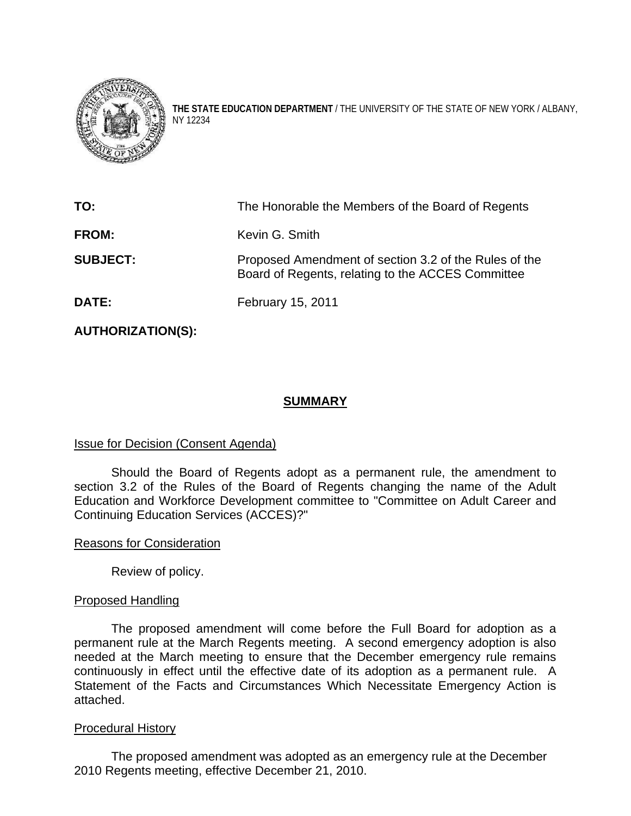

**THE STATE EDUCATION DEPARTMENT** / THE UNIVERSITY OF THE STATE OF NEW YORK / ALBANY, NY 12234

| TO:             | The Honorable the Members of the Board of Regents                                                          |
|-----------------|------------------------------------------------------------------------------------------------------------|
| <b>FROM:</b>    | Kevin G. Smith                                                                                             |
| <b>SUBJECT:</b> | Proposed Amendment of section 3.2 of the Rules of the<br>Board of Regents, relating to the ACCES Committee |
| <b>DATE:</b>    | February 15, 2011                                                                                          |

**AUTHORIZATION(S):** 

# **SUMMARY**

# Issue for Decision (Consent Agenda)

 Should the Board of Regents adopt as a permanent rule, the amendment to section 3.2 of the Rules of the Board of Regents changing the name of the Adult Education and Workforce Development committee to "Committee on Adult Career and Continuing Education Services (ACCES)?"

## Reasons for Consideration

Review of policy.

# Proposed Handling

 The proposed amendment will come before the Full Board for adoption as a permanent rule at the March Regents meeting. A second emergency adoption is also needed at the March meeting to ensure that the December emergency rule remains continuously in effect until the effective date of its adoption as a permanent rule. A Statement of the Facts and Circumstances Which Necessitate Emergency Action is attached.

## Procedural History

 The proposed amendment was adopted as an emergency rule at the December 2010 Regents meeting, effective December 21, 2010.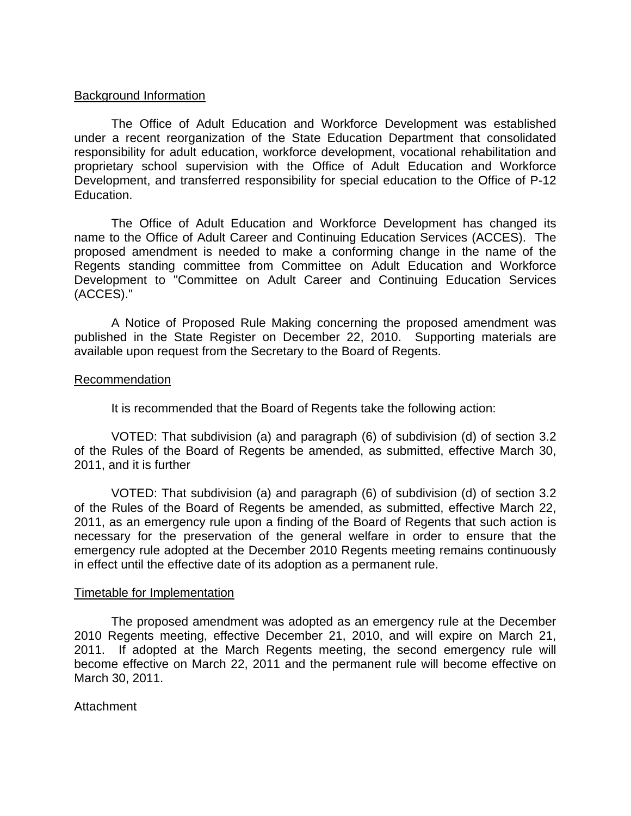### Background Information

 The Office of Adult Education and Workforce Development was established under a recent reorganization of the State Education Department that consolidated responsibility for adult education, workforce development, vocational rehabilitation and proprietary school supervision with the Office of Adult Education and Workforce Development, and transferred responsibility for special education to the Office of P-12 Education.

 The Office of Adult Education and Workforce Development has changed its name to the Office of Adult Career and Continuing Education Services (ACCES). The proposed amendment is needed to make a conforming change in the name of the Regents standing committee from Committee on Adult Education and Workforce Development to "Committee on Adult Career and Continuing Education Services (ACCES)."

A Notice of Proposed Rule Making concerning the proposed amendment was published in the State Register on December 22, 2010. Supporting materials are available upon request from the Secretary to the Board of Regents.

#### Recommendation

It is recommended that the Board of Regents take the following action:

VOTED: That subdivision (a) and paragraph (6) of subdivision (d) of section 3.2 of the Rules of the Board of Regents be amended, as submitted, effective March 30, 2011, and it is further

 VOTED: That subdivision (a) and paragraph (6) of subdivision (d) of section 3.2 of the Rules of the Board of Regents be amended, as submitted, effective March 22, 2011, as an emergency rule upon a finding of the Board of Regents that such action is necessary for the preservation of the general welfare in order to ensure that the emergency rule adopted at the December 2010 Regents meeting remains continuously in effect until the effective date of its adoption as a permanent rule.

#### Timetable for Implementation

 The proposed amendment was adopted as an emergency rule at the December 2010 Regents meeting, effective December 21, 2010, and will expire on March 21, 2011. If adopted at the March Regents meeting, the second emergency rule will become effective on March 22, 2011 and the permanent rule will become effective on March 30, 2011.

## Attachment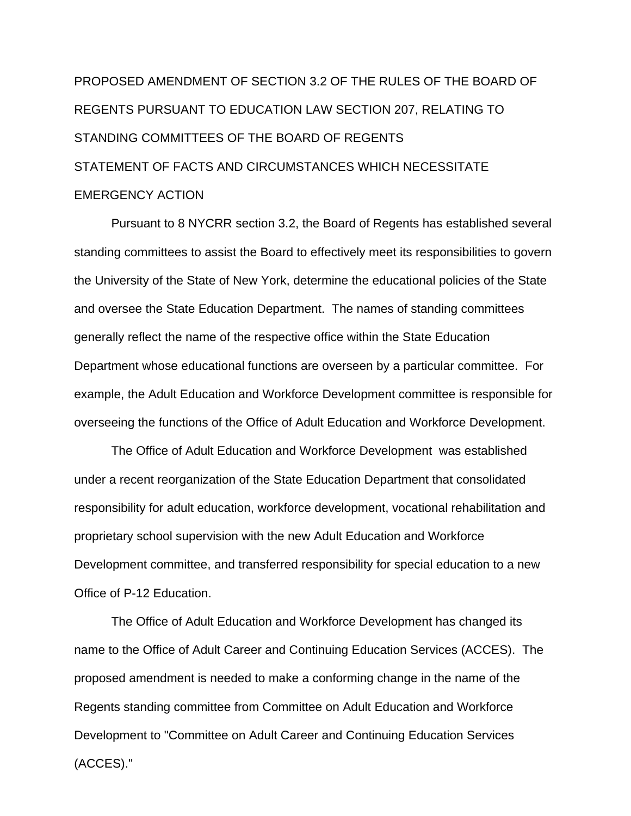# PROPOSED AMENDMENT OF SECTION 3.2 OF THE RULES OF THE BOARD OF REGENTS PURSUANT TO EDUCATION LAW SECTION 207, RELATING TO STANDING COMMITTEES OF THE BOARD OF REGENTS STATEMENT OF FACTS AND CIRCUMSTANCES WHICH NECESSITATE EMERGENCY ACTION

 Pursuant to 8 NYCRR section 3.2, the Board of Regents has established several standing committees to assist the Board to effectively meet its responsibilities to govern the University of the State of New York, determine the educational policies of the State and oversee the State Education Department. The names of standing committees generally reflect the name of the respective office within the State Education Department whose educational functions are overseen by a particular committee. For example, the Adult Education and Workforce Development committee is responsible for overseeing the functions of the Office of Adult Education and Workforce Development.

 The Office of Adult Education and Workforce Development was established under a recent reorganization of the State Education Department that consolidated responsibility for adult education, workforce development, vocational rehabilitation and proprietary school supervision with the new Adult Education and Workforce Development committee, and transferred responsibility for special education to a new Office of P-12 Education.

 The Office of Adult Education and Workforce Development has changed its name to the Office of Adult Career and Continuing Education Services (ACCES). The proposed amendment is needed to make a conforming change in the name of the Regents standing committee from Committee on Adult Education and Workforce Development to "Committee on Adult Career and Continuing Education Services (ACCES)."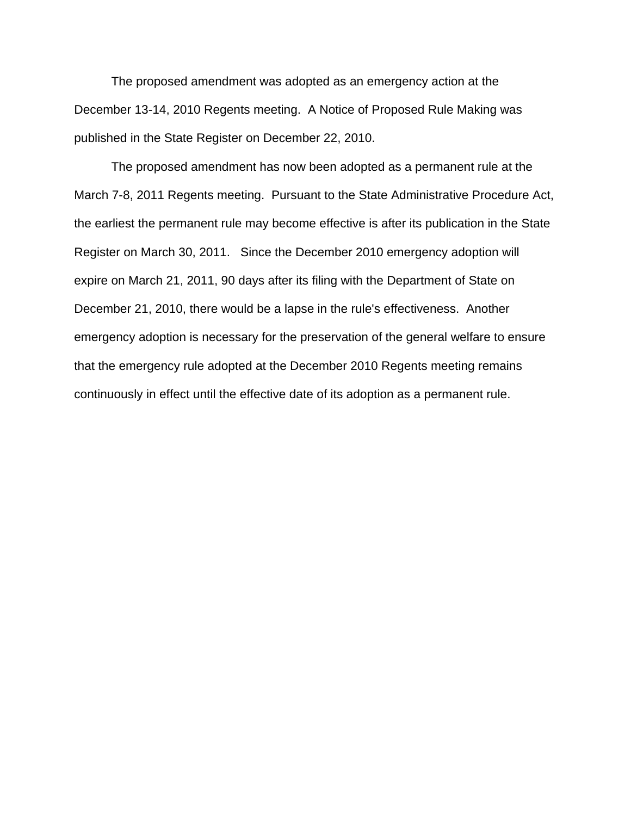The proposed amendment was adopted as an emergency action at the December 13-14, 2010 Regents meeting. A Notice of Proposed Rule Making was published in the State Register on December 22, 2010.

 The proposed amendment has now been adopted as a permanent rule at the March 7-8, 2011 Regents meeting. Pursuant to the State Administrative Procedure Act, the earliest the permanent rule may become effective is after its publication in the State Register on March 30, 2011. Since the December 2010 emergency adoption will expire on March 21, 2011, 90 days after its filing with the Department of State on December 21, 2010, there would be a lapse in the rule's effectiveness. Another emergency adoption is necessary for the preservation of the general welfare to ensure that the emergency rule adopted at the December 2010 Regents meeting remains continuously in effect until the effective date of its adoption as a permanent rule.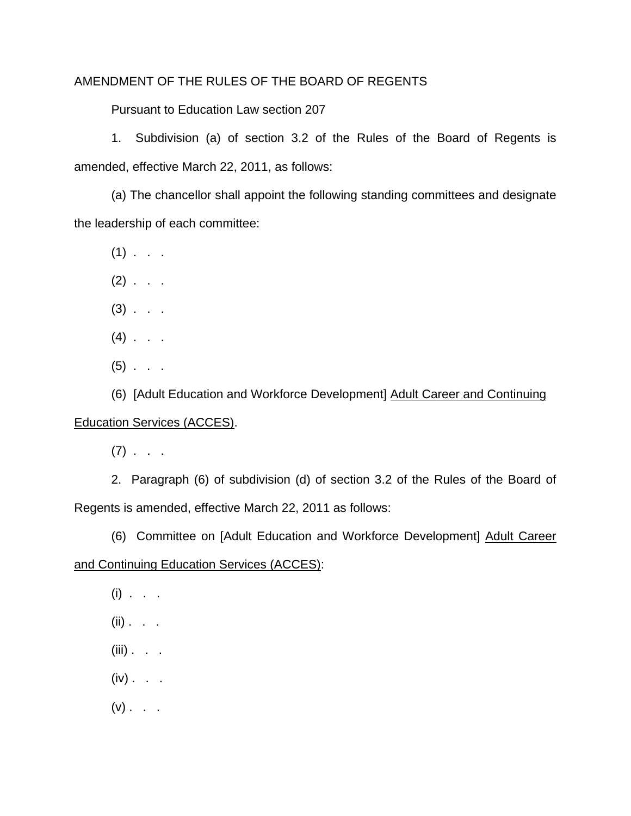# AMENDMENT OF THE RULES OF THE BOARD OF REGENTS

Pursuant to Education Law section 207

 1. Subdivision (a) of section 3.2 of the Rules of the Board of Regents is amended, effective March 22, 2011, as follows:

 (a) The chancellor shall appoint the following standing committees and designate the leadership of each committee:

 $(1)$  . . .

 $(2)$  . . .

 $(3)$  . . .

- $(4)$  . . .
- $(5)$  . .

 (6) [Adult Education and Workforce Development] Adult Career and Continuing Education Services (ACCES).

 $(7)$  . . .

 2. Paragraph (6) of subdivision (d) of section 3.2 of the Rules of the Board of Regents is amended, effective March 22, 2011 as follows:

(6) Committee on [Adult Education and Workforce Development] Adult Career

## and Continuing Education Services (ACCES):

 $(i)$  . . .

- $(ii)$  . . .
- $(iii)$  . . .
- $(iv)$  . .
- $(v)$  . . .